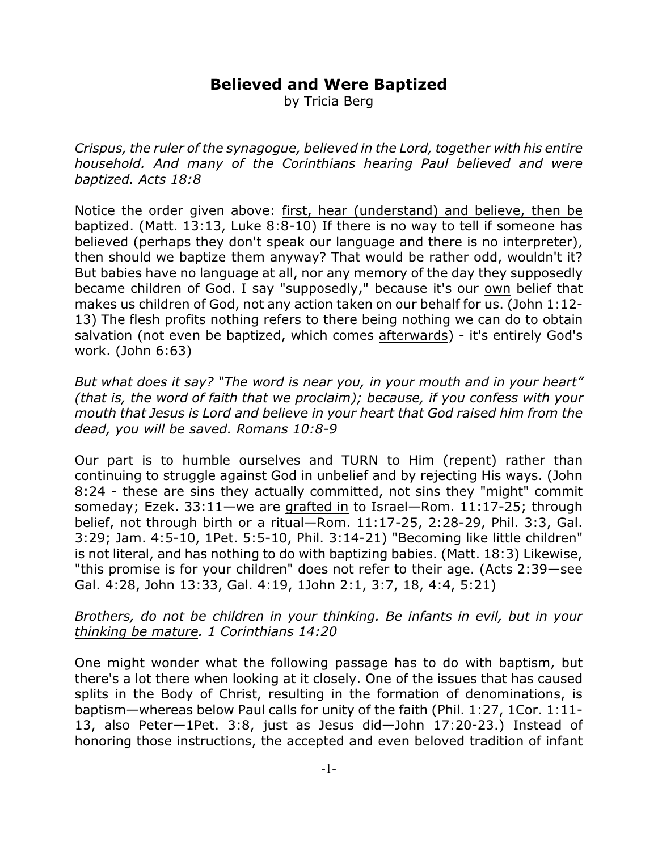## **Believed and Were Baptized**

by Tricia Berg

*Crispus, the ruler of the synagogue, believed in the Lord, together with his entire household. And many of the Corinthians hearing Paul believed and were baptized. Acts 18:8*

Notice the order given above: first, hear (understand) and believe, then be baptized. (Matt. 13:13, Luke 8:8-10) If there is no way to tell if someone has believed (perhaps they don't speak our language and there is no interpreter), then should we baptize them anyway? That would be rather odd, wouldn't it? But babies have no language at all, nor any memory of the day they supposedly became children of God. I say "supposedly," because it's our own belief that makes us children of God, not any action taken on our behalf for us. (John 1:12- 13) The flesh profits nothing refers to there being nothing we can do to obtain salvation (not even be baptized, which comes afterwards) - it's entirely God's work. (John 6:63)

*But what does it say? "The word is near you, in your mouth and in your heart" (that is, the word of faith that we proclaim); because, if you confess with your mouth that Jesus is Lord and believe in your heart that God raised him from the dead, you will be saved. Romans 10:8-9*

Our part is to humble ourselves and TURN to Him (repent) rather than continuing to struggle against God in unbelief and by rejecting His ways. (John 8:24 - these are sins they actually committed, not sins they "might" commit someday; Ezek. 33:11—we are grafted in to Israel—Rom. 11:17-25; through belief, not through birth or a ritual—Rom. 11:17-25, 2:28-29, Phil. 3:3, Gal. 3:29; Jam. 4:5-10, 1Pet. 5:5-10, Phil. 3:14-21) "Becoming like little children" is not literal, and has nothing to do with baptizing babies. (Matt. 18:3) Likewise, "this promise is for your children" does not refer to their age. (Acts 2:39—see Gal. 4:28, John 13:33, Gal. 4:19, 1John 2:1, 3:7, 18, 4:4, 5:21)

## *Brothers, do not be children in your thinking. Be infants in evil, but in your thinking be mature. 1 Corinthians 14:20*

One might wonder what the following passage has to do with baptism, but there's a lot there when looking at it closely. One of the issues that has caused splits in the Body of Christ, resulting in the formation of denominations, is baptism—whereas below Paul calls for unity of the faith (Phil. 1:27, 1Cor. 1:11- 13, also Peter—1Pet. 3:8, just as Jesus did—John 17:20-23.) Instead of honoring those instructions, the accepted and even beloved tradition of infant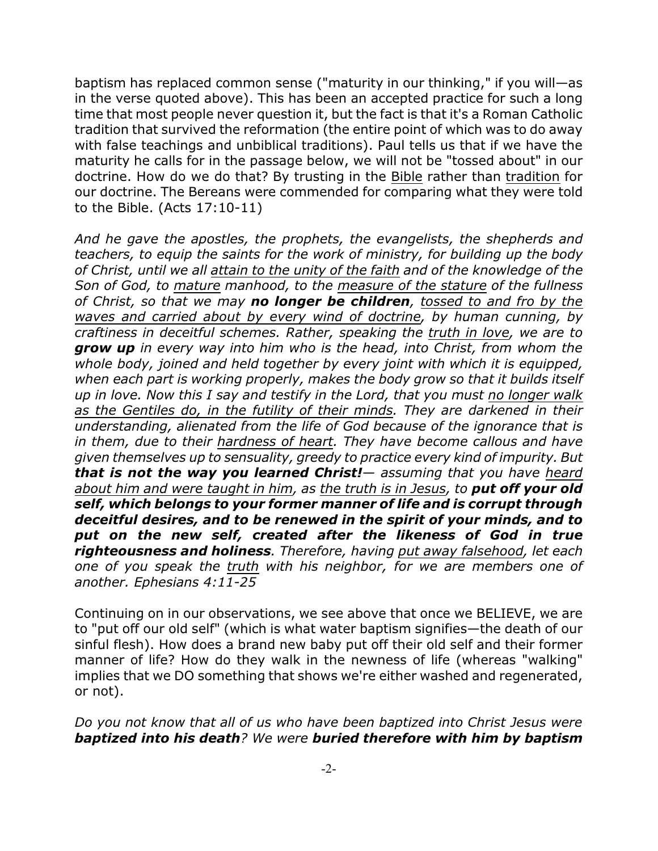baptism has replaced common sense ("maturity in our thinking," if you will—as in the verse quoted above). This has been an accepted practice for such a long time that most people never question it, but the fact is that it's a Roman Catholic tradition that survived the reformation (the entire point of which was to do away with false teachings and unbiblical traditions). Paul tells us that if we have the maturity he calls for in the passage below, we will not be "tossed about" in our doctrine. How do we do that? By trusting in the Bible rather than tradition for our doctrine. The Bereans were commended for comparing what they were told to the Bible. (Acts 17:10-11)

*And he gave the apostles, the prophets, the evangelists, the shepherds and teachers, to equip the saints for the work of ministry, for building up the body of Christ, until we all attain to the unity of the faith and of the knowledge of the Son of God, to mature manhood, to the measure of the stature of the fullness of Christ, so that we may no longer be children, tossed to and fro by the waves and carried about by every wind of doctrine, by human cunning, by craftiness in deceitful schemes. Rather, speaking the truth in love, we are to grow up in every way into him who is the head, into Christ, from whom the whole body, joined and held together by every joint with which it is equipped, when each part is working properly, makes the body grow so that it builds itself up in love. Now this I say and testify in the Lord, that you must no longer walk as the Gentiles do, in the futility of their minds. They are darkened in their understanding, alienated from the life of God because of the ignorance that is in them, due to their hardness of heart. They have become callous and have given themselves up to sensuality, greedy to practice every kind of impurity. But that is not the way you learned Christ!— assuming that you have heard about him and were taught in him, as the truth is in Jesus, to put off your old self, which belongs to your former manner of life and is corrupt through deceitful desires, and to be renewed in the spirit of your minds, and to put on the new self, created after the likeness of God in true righteousness and holiness. Therefore, having put away falsehood, let each one of you speak the truth with his neighbor, for we are members one of another. Ephesians 4:11-25*

Continuing on in our observations, we see above that once we BELIEVE, we are to "put off our old self" (which is what water baptism signifies—the death of our sinful flesh). How does a brand new baby put off their old self and their former manner of life? How do they walk in the newness of life (whereas "walking" implies that we DO something that shows we're either washed and regenerated, or not).

*Do you not know that all of us who have been baptized into Christ Jesus were baptized into his death? We were buried therefore with him by baptism*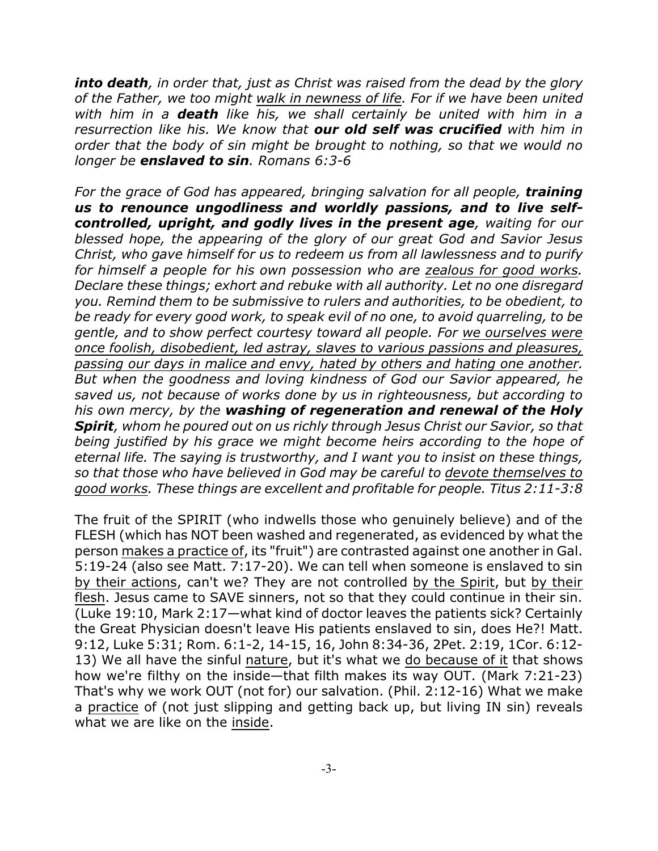*into death, in order that, just as Christ was raised from the dead by the glory of the Father, we too might walk in newness of life. For if we have been united with him in a death like his, we shall certainly be united with him in a resurrection like his. We know that our old self was crucified with him in order that the body of sin might be brought to nothing, so that we would no longer be enslaved to sin. Romans 6:3-6*

For the grace of God has appeared, bringing salvation for all people, **training** *us to renounce ungodliness and worldly passions, and to live selfcontrolled, upright, and godly lives in the present age, waiting for our blessed hope, the appearing of the glory of our great God and Savior Jesus Christ, who gave himself for us to redeem us from all lawlessness and to purify for himself a people for his own possession who are zealous for good works. Declare these things; exhort and rebuke with all authority. Let no one disregard you. Remind them to be submissive to rulers and authorities, to be obedient, to be ready for every good work, to speak evil of no one, to avoid quarreling, to be gentle, and to show perfect courtesy toward all people. For we ourselves were once foolish, disobedient, led astray, slaves to various passions and pleasures, passing our days in malice and envy, hated by others and hating one another. But when the goodness and loving kindness of God our Savior appeared, he saved us, not because of works done by us in righteousness, but according to his own mercy, by the washing of regeneration and renewal of the Holy Spirit, whom he poured out on us richly through Jesus Christ our Savior, so that being justified by his grace we might become heirs according to the hope of eternal life. The saying is trustworthy, and I want you to insist on these things, so that those who have believed in God may be careful to devote themselves to good works. These things are excellent and profitable for people. Titus 2:11-3:8*

The fruit of the SPIRIT (who indwells those who genuinely believe) and of the FLESH (which has NOT been washed and regenerated, as evidenced by what the person makes a practice of, its "fruit") are contrasted against one another in Gal. 5:19-24 (also see Matt. 7:17-20). We can tell when someone is enslaved to sin by their actions, can't we? They are not controlled by the Spirit, but by their flesh. Jesus came to SAVE sinners, not so that they could continue in their sin. (Luke 19:10, Mark 2:17—what kind of doctor leaves the patients sick? Certainly the Great Physician doesn't leave His patients enslaved to sin, does He?! Matt. 9:12, Luke 5:31; Rom. 6:1-2, 14-15, 16, John 8:34-36, 2Pet. 2:19, 1Cor. 6:12- 13) We all have the sinful nature, but it's what we do because of it that shows how we're filthy on the inside—that filth makes its way OUT. (Mark 7:21-23) That's why we work OUT (not for) our salvation. (Phil. 2:12-16) What we make a practice of (not just slipping and getting back up, but living IN sin) reveals what we are like on the inside.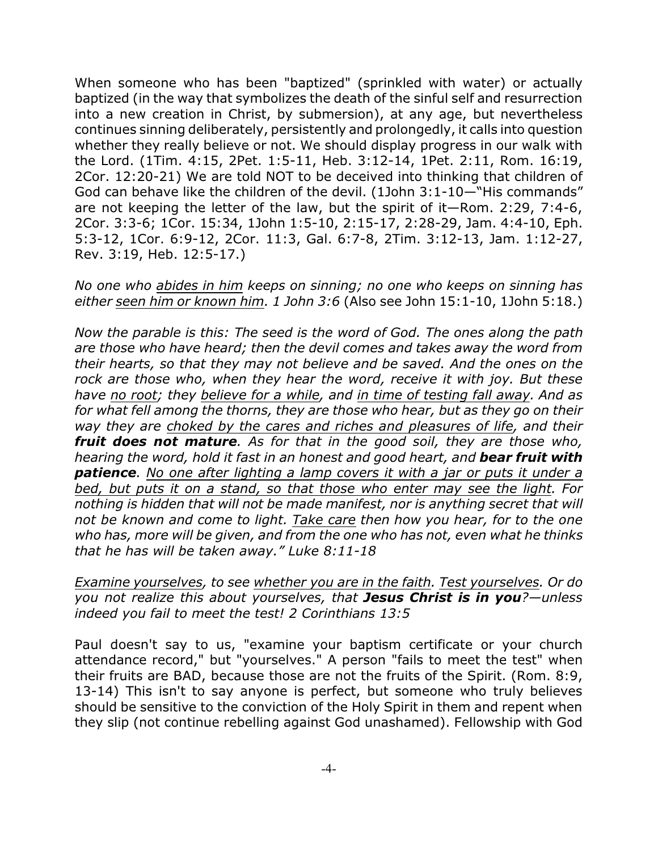When someone who has been "baptized" (sprinkled with water) or actually baptized (in the way that symbolizes the death of the sinful self and resurrection into a new creation in Christ, by submersion), at any age, but nevertheless continues sinning deliberately, persistently and prolongedly, it calls into question whether they really believe or not. We should display progress in our walk with the Lord. (1Tim. 4:15, 2Pet. 1:5-11, Heb. 3:12-14, 1Pet. 2:11, Rom. 16:19, 2Cor. 12:20-21) We are told NOT to be deceived into thinking that children of God can behave like the children of the devil. (1John 3:1-10—"His commands" are not keeping the letter of the law, but the spirit of it—Rom. 2:29, 7:4-6, 2Cor. 3:3-6; 1Cor. 15:34, 1John 1:5-10, 2:15-17, 2:28-29, Jam. 4:4-10, Eph. 5:3-12, 1Cor. 6:9-12, 2Cor. 11:3, Gal. 6:7-8, 2Tim. 3:12-13, Jam. 1:12-27, Rev. 3:19, Heb. 12:5-17.)

*No one who abides in him keeps on sinning; no one who keeps on sinning has either seen him or known him. 1 John 3:6* (Also see John 15:1-10, 1John 5:18.)

*Now the parable is this: The seed is the word of God. The ones along the path are those who have heard; then the devil comes and takes away the word from their hearts, so that they may not believe and be saved. And the ones on the rock are those who, when they hear the word, receive it with joy. But these have no root; they believe for a while, and in time of testing fall away. And as for what fell among the thorns, they are those who hear, but as they go on their way they are choked by the cares and riches and pleasures of life, and their fruit does not mature. As for that in the good soil, they are those who, hearing the word, hold it fast in an honest and good heart, and bear fruit with patience. No one after lighting a lamp covers it with a jar or puts it under a bed, but puts it on a stand, so that those who enter may see the light. For nothing is hidden that will not be made manifest, nor is anything secret that will not be known and come to light. Take care then how you hear, for to the one who has, more will be given, and from the one who has not, even what he thinks that he has will be taken away." Luke 8:11-18*

*Examine yourselves, to see whether you are in the faith. Test yourselves. Or do you not realize this about yourselves, that Jesus Christ is in you?—unless indeed you fail to meet the test! 2 Corinthians 13:5*

Paul doesn't say to us, "examine your baptism certificate or your church attendance record," but "yourselves." A person "fails to meet the test" when their fruits are BAD, because those are not the fruits of the Spirit. (Rom. 8:9, 13-14) This isn't to say anyone is perfect, but someone who truly believes should be sensitive to the conviction of the Holy Spirit in them and repent when they slip (not continue rebelling against God unashamed). Fellowship with God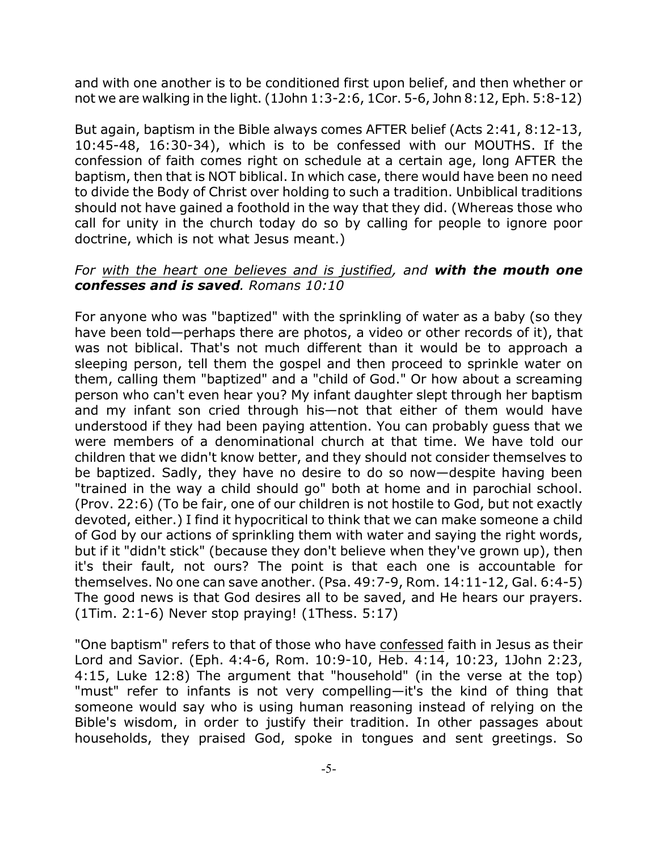and with one another is to be conditioned first upon belief, and then whether or not we are walking in the light. (1John 1:3-2:6, 1Cor. 5-6, John 8:12, Eph. 5:8-12)

But again, baptism in the Bible always comes AFTER belief (Acts 2:41, 8:12-13, 10:45-48, 16:30-34), which is to be confessed with our MOUTHS. If the confession of faith comes right on schedule at a certain age, long AFTER the baptism, then that is NOT biblical. In which case, there would have been no need to divide the Body of Christ over holding to such a tradition. Unbiblical traditions should not have gained a foothold in the way that they did. (Whereas those who call for unity in the church today do so by calling for people to ignore poor doctrine, which is not what Jesus meant.)

## *For with the heart one believes and is justified, and with the mouth one confesses and is saved. Romans 10:10*

For anyone who was "baptized" with the sprinkling of water as a baby (so they have been told—perhaps there are photos, a video or other records of it), that was not biblical. That's not much different than it would be to approach a sleeping person, tell them the gospel and then proceed to sprinkle water on them, calling them "baptized" and a "child of God." Or how about a screaming person who can't even hear you? My infant daughter slept through her baptism and my infant son cried through his—not that either of them would have understood if they had been paying attention. You can probably guess that we were members of a denominational church at that time. We have told our children that we didn't know better, and they should not consider themselves to be baptized. Sadly, they have no desire to do so now—despite having been "trained in the way a child should go" both at home and in parochial school. (Prov. 22:6) (To be fair, one of our children is not hostile to God, but not exactly devoted, either.) I find it hypocritical to think that we can make someone a child of God by our actions of sprinkling them with water and saying the right words, but if it "didn't stick" (because they don't believe when they've grown up), then it's their fault, not ours? The point is that each one is accountable for themselves. No one can save another. (Psa. 49:7-9, Rom. 14:11-12, Gal. 6:4-5) The good news is that God desires all to be saved, and He hears our prayers. (1Tim. 2:1-6) Never stop praying! (1Thess. 5:17)

"One baptism" refers to that of those who have confessed faith in Jesus as their Lord and Savior. (Eph. 4:4-6, Rom. 10:9-10, Heb. 4:14, 10:23, 1John 2:23, 4:15, Luke 12:8) The argument that "household" (in the verse at the top) "must" refer to infants is not very compelling—it's the kind of thing that someone would say who is using human reasoning instead of relying on the Bible's wisdom, in order to justify their tradition. In other passages about households, they praised God, spoke in tongues and sent greetings. So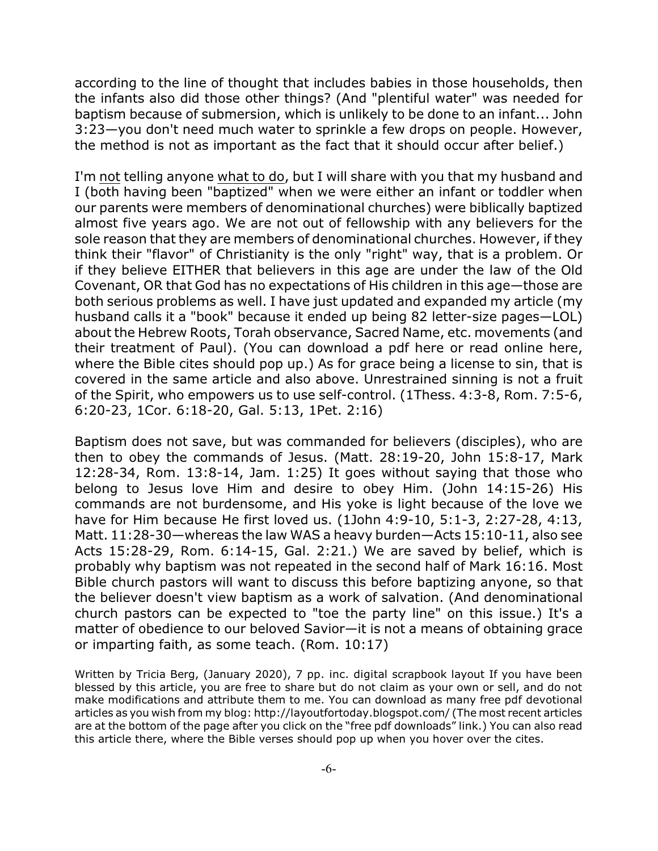according to the line of thought that includes babies in those households, then the infants also did those other things? (And "plentiful water" was needed for baptism because of submersion, which is unlikely to be done to an infant... John 3:23—you don't need much water to sprinkle a few drops on people. However, the method is not as important as the fact that it should occur after belief.)

I'm not telling anyone what to do, but I will share with you that my husband and I (both having been "baptized" when we were either an infant or toddler when our parents were members of denominational churches) were biblically baptized almost five years ago. We are not out of fellowship with any believers for the sole reason that they are members of denominational churches. However, if they think their "flavor" of Christianity is the only "right" way, that is a problem. Or if they believe EITHER that believers in this age are under the law of the Old Covenant, OR that God has no expectations of His children in this age—those are both serious problems as well. I have just updated and expanded my article (my husband calls it a "book" because it ended up being 82 letter-size pages—LOL) about the Hebrew Roots, Torah observance, Sacred Name, etc. movements (and their treatment of Paul). (You can download a pdf here or read online here, where the Bible cites should pop up.) As for grace being a license to sin, that is covered in the same article and also above. Unrestrained sinning is not a fruit of the Spirit, who empowers us to use self-control. (1Thess. 4:3-8, Rom. 7:5-6, 6:20-23, 1Cor. 6:18-20, Gal. 5:13, 1Pet. 2:16)

Baptism does not save, but was commanded for believers (disciples), who are then to obey the commands of Jesus. (Matt. 28:19-20, John 15:8-17, Mark 12:28-34, Rom. 13:8-14, Jam. 1:25) It goes without saying that those who belong to Jesus love Him and desire to obey Him. (John 14:15-26) His commands are not burdensome, and His yoke is light because of the love we have for Him because He first loved us. (1John 4:9-10, 5:1-3, 2:27-28, 4:13, Matt. 11:28-30—whereas the law WAS a heavy burden—Acts 15:10-11, also see Acts 15:28-29, Rom. 6:14-15, Gal. 2:21.) We are saved by belief, which is probably why baptism was not repeated in the second half of Mark 16:16. Most Bible church pastors will want to discuss this before baptizing anyone, so that the believer doesn't view baptism as a work of salvation. (And denominational church pastors can be expected to "toe the party line" on this issue.) It's a matter of obedience to our beloved Savior—it is not a means of obtaining grace or imparting faith, as some teach. (Rom. 10:17)

Written by Tricia Berg, (January 2020), 7 pp. inc. digital scrapbook layout If you have been blessed by this article, you are free to share but do not claim as your own or sell, and do not make modifications and attribute them to me. You can download as many free pdf devotional articles as you wish from my blog: http://layoutfortoday.blogspot.com/ (The most recent articles are at the bottom of the page after you click on the "free pdf downloads" link.) You can also read this article there, where the Bible verses should pop up when you hover over the cites.